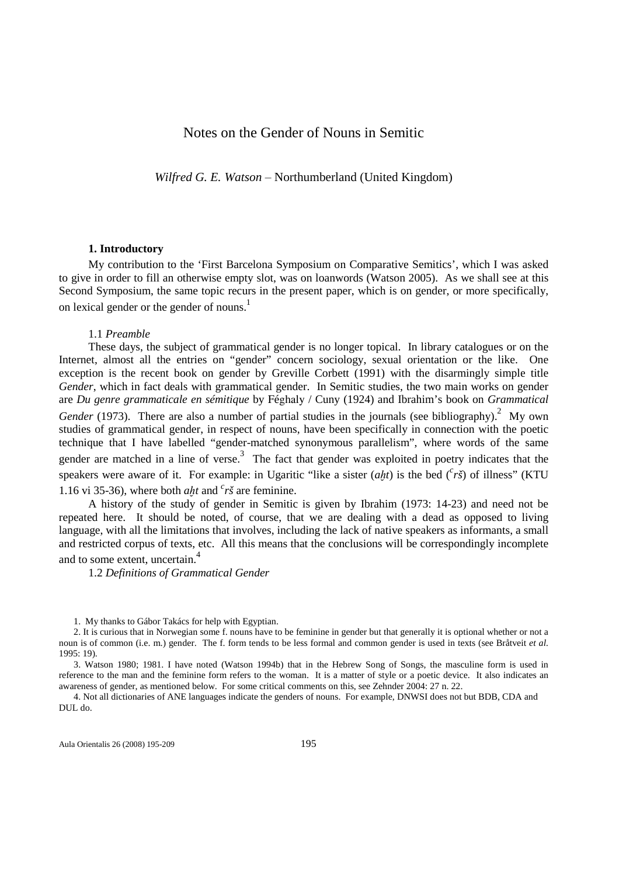# Notes on the Gender of Nouns in Semitic

*Wilfred G. E. Watson* – Northumberland (United Kingdom)

### **1. Introductory**

My contribution to the 'First Barcelona Symposium on Comparative Semitics', which I was asked to give in order to fill an otherwise empty slot, was on loanwords (Watson 2005). As we shall see at this Second Symposium, the same topic recurs in the present paper, which is on gender, or more specifically, on lexical gender or the gender of nouns.<sup>1</sup>

#### 1.1 *Preamble*

These days, the subject of grammatical gender is no longer topical. In library catalogues or on the Internet, almost all the entries on "gender" concern sociology, sexual orientation or the like. One exception is the recent book on gender by Greville Corbett (1991) with the disarmingly simple title *Gender*, which in fact deals with grammatical gender. In Semitic studies, the two main works on gender are *Du genre grammaticale en sémitique* by Féghaly / Cuny (1924) and Ibrahim's book on *Grammatical Gender* (1973). There are also a number of partial studies in the journals (see bibliography).<sup>2</sup> My own studies of grammatical gender, in respect of nouns, have been specifically in connection with the poetic technique that I have labelled "gender-matched synonymous parallelism", where words of the same gender are matched in a line of verse.<sup>3</sup> The fact that gender was exploited in poetry indicates that the speakers were aware of it. For example: in Ugaritic "like a sister  $(aht)$  is the bed  $(^{c}r\tilde{s})$  of illness" (KTU 1.16 vi 35-36), where both  $a\hat{h}$  and  $c^r\hat{s}$  are feminine.

A history of the study of gender in Semitic is given by Ibrahim (1973: 14-23) and need not be repeated here. It should be noted, of course, that we are dealing with a dead as opposed to living language, with all the limitations that involves, including the lack of native speakers as informants, a small and restricted corpus of texts, etc. All this means that the conclusions will be correspondingly incomplete and to some extent, uncertain.<sup>4</sup>

1.2 *Definitions of Grammatical Gender* 

3. Watson 1980; 1981. I have noted (Watson 1994b) that in the Hebrew Song of Songs, the masculine form is used in reference to the man and the feminine form refers to the woman. It is a matter of style or a poetic device. It also indicates an awareness of gender, as mentioned below. For some critical comments on this, see Zehnder 2004: 27 n. 22.

4. Not all dictionaries of ANE languages indicate the genders of nouns. For example, DNWSI does not but BDB, CDA and DUL do.

Aula Orientalis 26 (2008) 195-209 195-201

<sup>1.</sup> My thanks to Gábor Takács for help with Egyptian.

<sup>2.</sup> It is curious that in Norwegian some f. nouns have to be feminine in gender but that generally it is optional whether or not a noun is of common (i.e. m.) gender. The f. form tends to be less formal and common gender is used in texts (see Bråtveit *et al.* 1995: 19).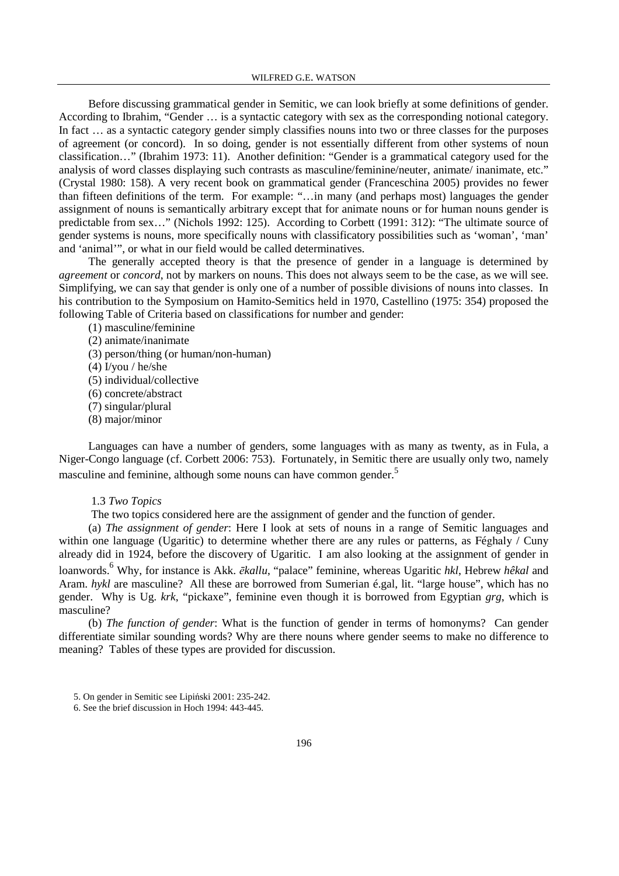Before discussing grammatical gender in Semitic, we can look briefly at some definitions of gender. According to Ibrahim, "Gender … is a syntactic category with sex as the corresponding notional category. In fact … as a syntactic category gender simply classifies nouns into two or three classes for the purposes of agreement (or concord). In so doing, gender is not essentially different from other systems of noun classification…" (Ibrahim 1973: 11). Another definition: "Gender is a grammatical category used for the analysis of word classes displaying such contrasts as masculine/feminine/neuter, animate/ inanimate, etc." (Crystal 1980: 158). A very recent book on grammatical gender (Franceschina 2005) provides no fewer than fifteen definitions of the term. For example: "…in many (and perhaps most) languages the gender assignment of nouns is semantically arbitrary except that for animate nouns or for human nouns gender is predictable from sex…" (Nichols 1992: 125). According to Corbett (1991: 312): "The ultimate source of gender systems is nouns, more specifically nouns with classificatory possibilities such as 'woman', 'man' and 'animal'", or what in our field would be called determinatives.

The generally accepted theory is that the presence of gender in a language is determined by *agreement* or *concord*, not by markers on nouns. This does not always seem to be the case, as we will see. Simplifying, we can say that gender is only one of a number of possible divisions of nouns into classes. In his contribution to the Symposium on Hamito-Semitics held in 1970, Castellino (1975: 354) proposed the following Table of Criteria based on classifications for number and gender:

(1) masculine/feminine (2) animate/inanimate (3) person/thing (or human/non-human) (4) I/you / he/she (5) individual/collective (6) concrete/abstract (7) singular/plural (8) major/minor

Languages can have a number of genders, some languages with as many as twenty, as in Fula, a Niger-Congo language (cf. Corbett 2006: 753). Fortunately, in Semitic there are usually only two, namely masculine and feminine, although some nouns can have common gender.<sup>5</sup>

#### 1.3 *Two Topics*

The two topics considered here are the assignment of gender and the function of gender.

(a) *The assignment of gender*: Here I look at sets of nouns in a range of Semitic languages and within one language (Ugaritic) to determine whether there are any rules or patterns, as Féghaly / Cuny already did in 1924, before the discovery of Ugaritic. I am also looking at the assignment of gender in loanwords.<sup>6</sup> Why, for instance is Akk. ē*kallu*, "palace" feminine, whereas Ugaritic *hkl*, Hebrew *hêkal* and Aram. *hykl* are masculine? All these are borrowed from Sumerian é.gal, lit. "large house", which has no gender. Why is Ug. *krk*, "pickaxe", feminine even though it is borrowed from Egyptian *grg*, which is masculine?

(b) *The function of gender*: What is the function of gender in terms of homonyms? Can gender differentiate similar sounding words? Why are there nouns where gender seems to make no difference to meaning? Tables of these types are provided for discussion.

<sup>5.</sup> On gender in Semitic see Lipiński 2001: 235-242.

<sup>6.</sup> See the brief discussion in Hoch 1994: 443-445.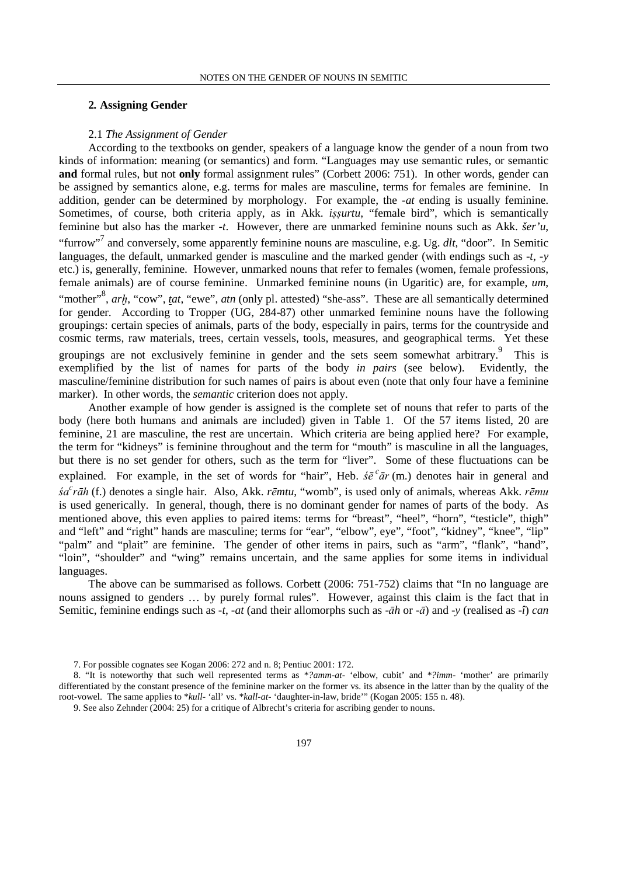### **2***.* **Assigning Gender**

#### 2.1 *The Assignment of Gender*

According to the textbooks on gender, speakers of a language know the gender of a noun from two kinds of information: meaning (or semantics) and form. "Languages may use semantic rules, or semantic **and** formal rules, but not **only** formal assignment rules" (Corbett 2006: 751). In other words, gender can be assigned by semantics alone, e.g. terms for males are masculine, terms for females are feminine. In addition, gender can be determined by morphology. For example, the *-at* ending is usually feminine. Sometimes, of course, both criteria apply, as in Akk. *issurtu*, "female bird", which is semantically feminine but also has the marker *-t*. However, there are unmarked feminine nouns such as Akk. *šer'u*, "furrow"<sup>7</sup> and conversely, some apparently feminine nouns are masculine, e.g. Ug. *dlt*, "door". In Semitic languages, the default, unmarked gender is masculine and the marked gender (with endings such as *-t*, *-y* etc.) is, generally, feminine. However, unmarked nouns that refer to females (women, female professions, female animals) are of course feminine. Unmarked feminine nouns (in Ugaritic) are, for example, *um*, "mother"<sup>8</sup>, arh, "cow", tat, "ewe", atn (only pl. attested) "she-ass". These are all semantically determined for gender. According to Tropper (UG, 284-87) other unmarked feminine nouns have the following groupings: certain species of animals, parts of the body, especially in pairs, terms for the countryside and cosmic terms, raw materials, trees, certain vessels, tools, measures, and geographical terms. Yet these groupings are not exclusively feminine in gender and the sets seem somewhat arbitrary.<sup>9</sup> This is exemplified by the list of names for parts of the body *in pairs* (see below). Evidently, the masculine/feminine distribution for such names of pairs is about even (note that only four have a feminine marker). In other words, the *semantic* criterion does not apply.

Another example of how gender is assigned is the complete set of nouns that refer to parts of the body (here both humans and animals are included) given in Table 1. Of the 57 items listed, 20 are feminine, 21 are masculine, the rest are uncertain. Which criteria are being applied here? For example, the term for "kidneys" is feminine throughout and the term for "mouth" is masculine in all the languages, but there is no set gender for others, such as the term for "liver". Some of these fluctuations can be explained. For example, in the set of words for "hair", Heb.  $\dot{s}\bar{e}^c\bar{a}r$  (m.) denotes hair in general and śa c rāh (f.) denotes a single hair. Also, Akk. *r*ē*mtu*, "womb", is used only of animals, whereas Akk. rēmu is used generically. In general, though, there is no dominant gender for names of parts of the body. As mentioned above, this even applies to paired items: terms for "breast", "heel", "horn", "testicle", thigh" and "left" and "right" hands are masculine; terms for "ear", "elbow", eye", "foot", "kidney", "knee", "lip" "palm" and "plait" are feminine. The gender of other items in pairs, such as "arm", "flank", "hand", "loin", "shoulder" and "wing" remains uncertain, and the same applies for some items in individual languages.

The above can be summarised as follows. Corbett (2006: 751-752) claims that "In no language are nouns assigned to genders … by purely formal rules". However, against this claim is the fact that in Semitic, feminine endings such as *-t*, *-at* (and their allomorphs such as -ā*h* or -ā) and -*y* (realised as -*î*) *can* 

<sup>7.</sup> For possible cognates see Kogan 2006: 272 and n. 8; Pentiuc 2001: 172.

<sup>8. &</sup>quot;It is noteworthy that such well represented terms as \**?amm-at-* 'elbow, cubit' and \**?imm-* 'mother' are primarily differentiated by the constant presence of the feminine marker on the former vs. its absence in the latter than by the quality of the root-vowel. The same applies to \**kull-* 'all' vs. \**kall-at-* 'daughter-in-law, bride'" (Kogan 2005: 155 n. 48).

<sup>9.</sup> See also Zehnder (2004: 25) for a critique of Albrecht's criteria for ascribing gender to nouns.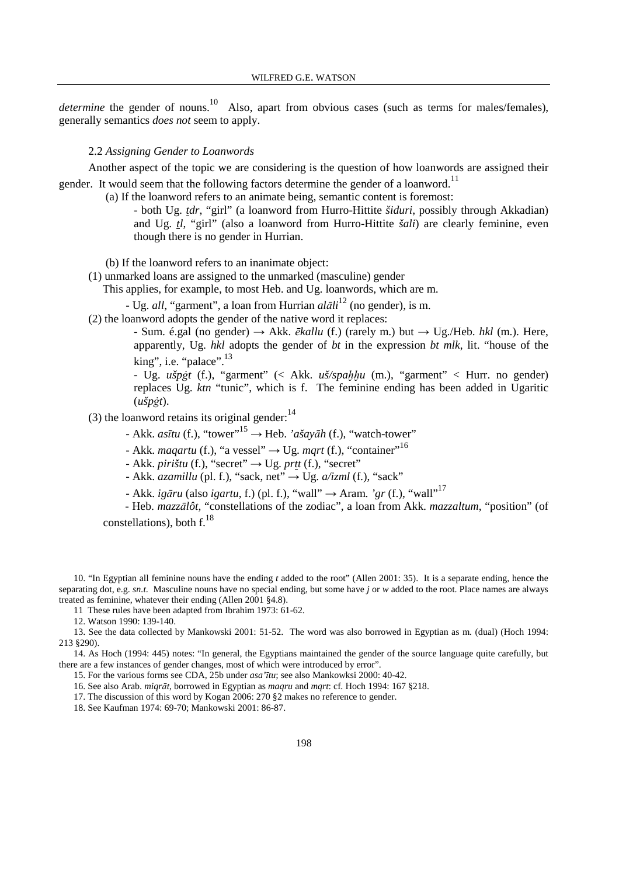*determine* the gender of nouns.<sup>10</sup> Also, apart from obvious cases (such as terms for males/females), generally semantics *does not* seem to apply.

#### 2.2 *Assigning Gender to Loanwords*

Another aspect of the topic we are considering is the question of how loanwords are assigned their gender. It would seem that the following factors determine the gender of a loanword.<sup>11</sup>

(a) If the loanword refers to an animate being, semantic content is foremost:

- both Ug. *tdr*, "girl" (a loanword from Hurro-Hittite *šiduri*, possibly through Akkadian) and Ug. *tl*, "girl" (also a loanword from Hurro-Hittite *šali*) are clearly feminine, even though there is no gender in Hurrian.

(b) If the loanword refers to an inanimate object:

(1) unmarked loans are assigned to the unmarked (masculine) gender

This applies, for example, to most Heb. and Ug. loanwords, which are m.

- Ug. *all*, "garment", a loan from Hurrian *al*ā*li*12 (no gender), is m.

(2) the loanword adopts the gender of the native word it replaces:

- Sum. é.gal (no gender)  $\rightarrow$  Akk. *ēkallu* (f.) (rarely m.) but  $\rightarrow$  Ug./Heb. *hkl* (m.). Here, apparently, Ug. *hkl* adopts the gender of *bt* in the expression *bt mlk*, lit. "house of the king", i.e. "palace". $13$ 

 $-$  Ug. *ušpgt* (f.), "garment" (< Akk. *uš/spahhu* (m.), "garment" < Hurr. no gender) replaces Ug. *ktn* "tunic", which is f. The feminine ending has been added in Ugaritic (*ušp*ġ*t*).

(3) the loanword retains its original gender:  $14$ 

 $-$  Akk. *asītu* (f.), "tower"<sup>15</sup>  $\rightarrow$  Heb. *'ašayāh* (f.), "watch-tower"

- Akk. *maqartu* (f.), "a vessel"  $\rightarrow$  Ug. *mqrt* (f.), "container"<sup>16</sup>

 $-$  Akk. *pirištu* (f.), "secret"  $\rightarrow$  Ug. *prtt* (f.), "secret"

- Akk. *azamillu* (pl. f.), "sack, net" → Ug. *a/izml* (f.), "sack"

- Akk. *ig*ā*ru* (also *igartu*, f.) (pl. f.), "wall" → Aram. *'gr* (f.), "wall"<sup>17</sup>

- Heb. *mazz*ā*lôt*, "constellations of the zodiac", a loan from Akk. *mazzaltum*, "position" (of constellations), both  $f<sup>18</sup>$ 

10. "In Egyptian all feminine nouns have the ending *t* added to the root" (Allen 2001: 35). It is a separate ending, hence the separating dot, e.g. *sn.t*. Masculine nouns have no special ending, but some have *j* or *w* added to the root. Place names are always treated as feminine, whatever their ending (Allen 2001 §4.8).

11 These rules have been adapted from Ibrahim 1973: 61-62.

12. Watson 1990: 139-140.

13. See the data collected by Mankowski 2001: 51-52. The word was also borrowed in Egyptian as m. (dual) (Hoch 1994: 213 §290).

14. As Hoch (1994: 445) notes: "In general, the Egyptians maintained the gender of the source language quite carefully, but there are a few instances of gender changes, most of which were introduced by error".

15. For the various forms see CDA, 25b under *asa'*ī*tu*; see also Mankowksi 2000: 40-42.

16. See also Arab. *miqr*ā*t*, borrowed in Egyptian as *maqru* and *mqrt*: cf. Hoch 1994: 167 §218.

17. The discussion of this word by Kogan 2006: 270 §2 makes no reference to gender.

18. See Kaufman 1974: 69-70; Mankowski 2001: 86-87.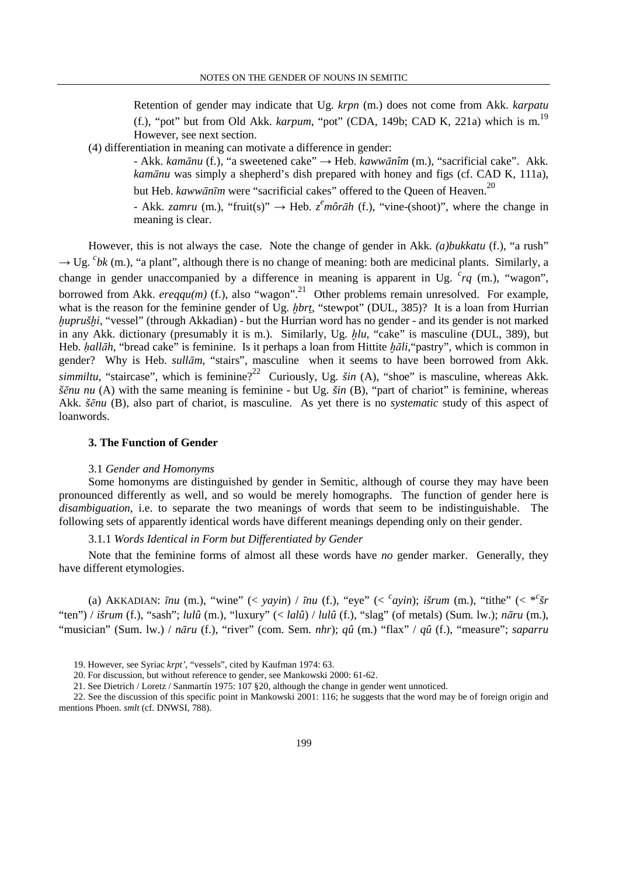Retention of gender may indicate that Ug. *krpn* (m.) does not come from Akk. *karpatu* (f.), "pot" but from Old Akk. *karpum*, "pot" (CDA, 149b; CAD K, 221a) which is m.<sup>19</sup> However, see next section.

(4) differentiation in meaning can motivate a difference in gender:

- Akk. *kam*ā*nu* (f.), "a sweetened cake" → Heb. *kaww*ā*nîm* (m.), "sacrificial cake". Akk. *kam*ā*nu* was simply a shepherd's dish prepared with honey and figs (cf. CAD K, 111a), but Heb. *kaww*ā*n*ī*m* were "sacrificial cakes" offered to the Queen of Heaven. 20

- Akk. *zamru* (m.), "fruit(s)"  $\rightarrow$  Heb.  $z^e$ *môrāh* (f.), "vine-(shoot)", where the change in meaning is clear.

However, this is not always the case. Note the change of gender in Akk. *(a)bukkatu* (f.), "a rush"  $\rightarrow$  Ug. <sup>*c*</sup>bk (m.), "a plant", although there is no change of meaning: both are medicinal plants. Similarly, a change in gender unaccompanied by a difference in meaning is apparent in Ug. <sup>c</sup>rq (m.), "wagon", borrowed from Akk.  $e$ regqu(m) (f.), also "wagon".<sup>21</sup> Other problems remain unresolved. For example, what is the reason for the feminine gender of Ug. *hbrt*, "stewpot" (DUL, 385)? It is a loan from Hurrian huprušhi, "vessel" (through Akkadian) - but the Hurrian word has no gender - and its gender is not marked in any Akk. dictionary (presumably it is m.). Similarly, Ug. ḫ*lu*, "cake" is masculine (DUL, 389), but Heb. *hallāh*, "bread cake" is feminine. Is it perhaps a loan from Hittite hali, "pastry", which is common in gender? Why is Heb. *sull*ā*m*, "stairs", masculine when it seems to have been borrowed from Akk. *simmiltu*, "staircase", which is feminine?<sup>22</sup> Curiously, Ug. *šin* (A), "shoe" is masculine, whereas Akk. *š*ē*nu nu* (A) with the same meaning is feminine - but Ug. *šin* (B), "part of chariot" is feminine, whereas Akk. *š*ē*nu* (B), also part of chariot, is masculine. As yet there is no *systematic* study of this aspect of loanwords.

# **3. The Function of Gender**

#### 3.1 *Gender and Homonyms*

Some homonyms are distinguished by gender in Semitic, although of course they may have been pronounced differently as well, and so would be merely homographs. The function of gender here is *disambiguation*, i.e. to separate the two meanings of words that seem to be indistinguishable. The following sets of apparently identical words have different meanings depending only on their gender.

### 3.1.1 *Words Identical in Form but Differentiated by Gender*

Note that the feminine forms of almost all these words have *no* gender marker. Generally, they have different etymologies.

(a) AKKADIAN:  $\bar{u}u$  (m.), "wine" (< *yayin*) /  $\bar{u}u$  (f.), "eye" (<  $\bar{c}$  *ayin*); *išrum* (m.), "tithe" (<  $\bar{f}$   $\bar{f}$   $\bar{f}$ "ten") / *išrum* (f.), "sash"; *lulû* (m.), "luxury" (< *lalû*) / *lulû* (f.), "slag" (of metals) (Sum. lw.); *n*ā*ru* (m.), "musician" (Sum. lw.) / *n*ā*ru* (f.), "river" (com. Sem. *nhr*); *qû* (m.) "flax" / *qû* (f.), "measure"; *saparru*

19. However, see Syriac *krpt'*, "vessels", cited by Kaufman 1974: 63.

22. See the discussion of this specific point in Mankowski 2001: 116; he suggests that the word may be of foreign origin and mentions Phoen. *smlt* (cf. DNWSI, 788).

<sup>20.</sup> For discussion, but without reference to gender, see Mankowski 2000: 61-62.

<sup>21.</sup> See Dietrich / Loretz / Sanmartín 1975: 107 §20, although the change in gender went unnoticed.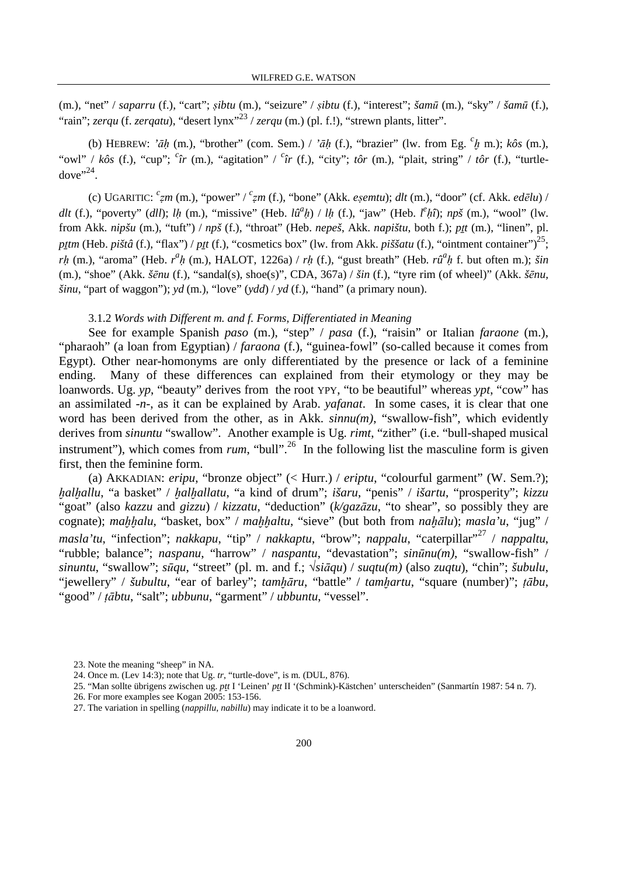(m.), "net" / *saparru* (f.), "cart"; ṣ*ibtu* (m.), "seizure" / ṣ*ibtu* (f.), "interest"; *šam*ū (m.), "sky" / *šam*ū (f.), "rain"; *zerqu* (f. *zerqatu*), "desert lynx"<sup>23</sup> / *zerqu* (m.) (pl. f.!), "strewn plants, litter".

(b) HEBREW: *'*āḥ (m.), "brother" (com. Sem.) / *'*āḥ (f.), "brazier" (lw. from Eg. *<sup>c</sup>* ḫ m.); *kôs* (m.), "owl" / kôs (f.), "cup"; <sup>*c*</sup>ir (m.), "agitation" / <sup>*c*</sup>ir (f.), "city"; *tôr* (m.), "plait, string" / tôr (f.), "turtledove $"^{24}$ .

(c) UGARITIC: *c* ẓ*m* (m.), "power" / *<sup>c</sup>* ẓ*m* (f.), "bone" (Akk. *e*ṣ*emtu*); *dlt* (m.), "door" (cf. Akk. *ed*ē*lu*) / *dlt* (f.), "poverty" (*dll*); *l*ḥ (m.), "missive" (Heb. *lû<sup>a</sup>* ḥ) / *l*ḥ (f.), "jaw" (Heb. *l e* ḥ*î*); *npš* (m.), "wool" (lw. from Akk. *nipšu* (m.), "tuft") / *npš* (f.), "throat" (Heb. *nepeš*, Akk. *napištu*, both f.); *p*ṯ*t* (m.), "linen", pl. *pttm* (Heb. *pištâ* (f.), "flax") / *ptt* (f.), "cosmetics box" (lw. from Akk. *piššatu* (f.), "ointment container")<sup>25</sup>; *rh* (m.), "aroma" (Heb. *r<sup>a</sup>h* (m.), HALOT, 1226a) / *rh* (f.), "gust breath" (Heb. *rû<sup>a</sup>h* f. but often m.); *šin* (m.), "shoe" (Akk. *š*ē*nu* (f.), "sandal(s), shoe(s)", CDA, 367a) / *šin* (f.), "tyre rim (of wheel)" (Akk. *š*ē*nu, šinu*, "part of waggon"); *yd* (m.), "love" (*ydd*) / *yd* (f.), "hand" (a primary noun).

### 3.1.2 *Words with Different m. and f. Forms, Differentiated in Meaning*

See for example Spanish *paso* (m.), "step" / *pasa* (f.), "raisin" or Italian *faraone* (m.), "pharaoh" (a loan from Egyptian) / *faraona* (f.), "guinea-fowl" (so-called because it comes from Egypt). Other near-homonyms are only differentiated by the presence or lack of a feminine ending. Many of these differences can explained from their etymology or they may be loanwords. Ug. *yp*, "beauty" derives from the root YPY, "to be beautiful" whereas *ypt*, "cow" has an assimilated -*n*-, as it can be explained by Arab. *yafanat*. In some cases, it is clear that one word has been derived from the other, as in Akk. *sinnu(m)*, "swallow-fish", which evidently derives from *sinuntu* "swallow". Another example is Ug. *rimt*, "zither" (i.e. "bull-shaped musical instrument"), which comes from  $rum$ , "bull".<sup>26</sup> In the following list the masculine form is given first, then the feminine form.

(a) AKKADIAN: *eripu*, "bronze object" (< Hurr.) / *eriptu*, "colourful garment" (W. Sem.?); ḫ*al*ḫ*allu*, "a basket" / ḫ*al*ḫ*allatu*, "a kind of drum"; *išaru*, "penis" / *išartu*, "prosperity"; *kizzu* "goat" (also *kazzu* and *gizzu*) / *kizzatu*, "deduction" (*k/gaz*ā*zu*, "to shear", so possibly they are cognate); *mahhalu*, "basket, box" / *mahhaltu*, "sieve" (but both from *nahālu*); *masla'u*, "jug" / *masla'tu*, "infection"; *nakkapu*, "tip" / *nakkaptu*, "brow"; *nappalu*, "caterpillar"<sup>27</sup> / *nappaltu*, "rubble; balance"; *naspanu*, "harrow" / *naspantu*, "devastation"; *sin*ū*nu(m)*, "swallow-fish" / *sinuntu*, "swallow"; *s*ū*qu*, "street" (pl. m. and f.; √*si*ā*qu*) / *suqtu(m)* (also *zuqtu*), "chin"; *šubulu*, "jewellery" / *šubultu*, "ear of barley"; *tamhāru*, "battle" / *tamhartu*, "square (number)"; *tābu*, "good" / ṭā*btu*, "salt"; *ubbunu*, "garment" / *ubbuntu*, "vessel".

<sup>23.</sup> Note the meaning "sheep" in NA.

<sup>24.</sup> Once m. (Lev 14:3); note that Ug. *tr*, "turtle-dove", is m. (DUL, 876).

<sup>25. &</sup>quot;Man sollte übrigens zwischen ug. *ptt* I 'Leinen' *ptt* II '(Schmink)-Kästchen' unterscheiden" (Sanmartín 1987: 54 n. 7).

<sup>26.</sup> For more examples see Kogan 2005: 153-156.

<sup>27.</sup> The variation in spelling (*nappillu*, *nabillu*) may indicate it to be a loanword.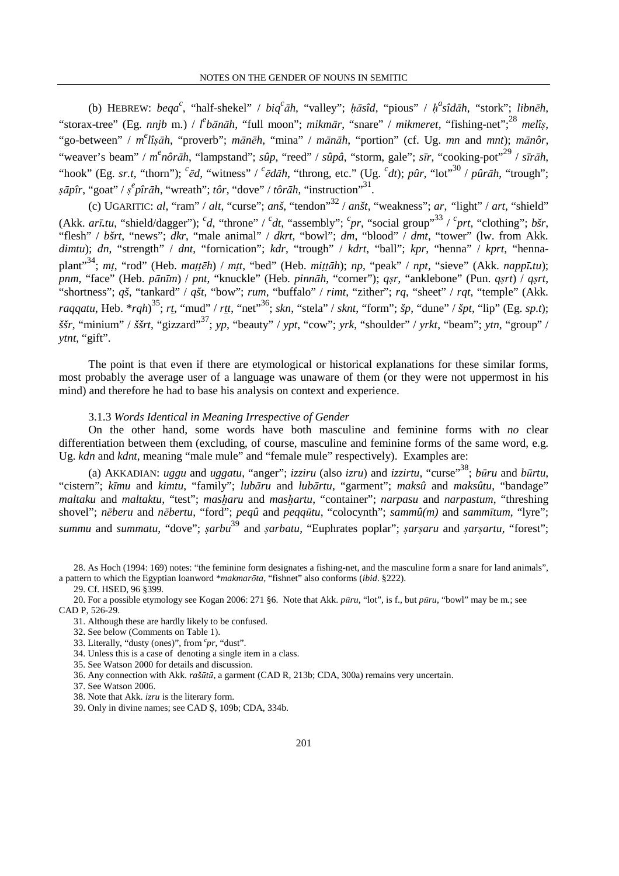(b) HEBREW:  $beqa^c$ , "half-shekel" /  $biq^c\bar{a}h$ , "valley";  $h\bar{a}s\hat{i}d$ , "pious" /  $h^a s\hat{i}d\bar{a}h$ , "stork"; libnēh, "storax-tree" (Eg. *nnjb* m.) / *l e b*ā*n*ā*h*, "full moon"; *mikm*ā*r*, "snare" / *mikmeret*, "fishing-net";<sup>28</sup> *melî*ṣ, "go-between" / *m e lî*ṣā*h*, "proverb"; *m*ā*n*ē*h*, "mina" / *m*ā*n*ā*h*, "portion" (cf. Ug. *mn* and *mnt*); *m*ā*nôr*, "weaver's beam" / *m e nôr*ā*h*, "lampstand"; *sûp*, "reed" / *sûpâ*, "storm, gale"; *s*ī*r*, "cooking-pot"29 / *s*ī*r*ā*h*, "hook" (Eg. *sr.t*, "thorn"); <sup>*c*</sup>ēd, "witness" / <sup>*c*</sup>ēdāh, "throng, etc." (Ug. <sup>*c*</sup>dt); *pûr*, "lot"<sup>30</sup> / *pûrāh*, "trough"; ṣā*pîr*, "goat" / ṣ *e pîr*ā*h*, "wreath"; *tôr*, "dove" / *tôr*ā*h*, "instruction"<sup>31</sup> .

(c) UGARITIC: *al*, "ram" / *alt*, "curse"; *anš*, "tendon"32 / *anšt*, "weakness"; *ar, "*light" / *art*, "shield" (Akk. *ar*ī*.tu*, "shield/dagger"); *<sup>c</sup> d*, "throne" / *<sup>c</sup> dt*, "assembly"; *<sup>c</sup> pr*, "social group"33 / *<sup>c</sup> prt*, "clothing"; *bšr*, "flesh" / *bšrt*, "news"; *dkr*, "male animal" / *dkrt*, "bowl"; *dm*, "blood" / *dmt*, "tower" (lw. from Akk. *dimtu*); *dn*, "strength" / *dnt*, "fornication"; *kdr*, "trough" / *kdrt*, "ball"; *kpr*, "henna" / *kprt*, "hennaplant"<sup>34</sup> ; *m*ṭ, "rod" (Heb. *ma*ṭṭē*h*) / *m*ṭ*t*, "bed" (Heb. *mi*ṭṭā*h*); *np*, "peak" / *npt,* "sieve" (Akk. *napp*ī*.tu*); *pnm,* "face" (Heb. *p*ā*n*ī*m*) / *pnt*, "knuckle" (Heb. *pinn*ā*h*, "corner"); *q*ṣ*r*, "anklebone" (Pun. *q*ṣ*rt*) / *q*ṣ*rt*, "shortness"; *qš*, "tankard" / *qšt*, "bow"; *rum*, "buffalo" / *rimt*, "zither"; *rq*, "sheet" / *rqt*, "temple" (Akk. *raqqatu*, Heb. \**rqh*) 35 ; *rt*, "mud" / *rtt*, "net"<sup>36</sup> ; *skn*, "stela" / *sknt*, "form"; *šp*, "dune" / *špt*, "lip" (Eg. *sp.t*); *ššr*, "minium" / *ššrt*, "gizzard"<sup>37</sup> ; *yp*, "beauty" / *ypt*, "cow"; *yrk*, "shoulder" / *yrkt*, "beam"; *ytn*, "group" / *ytnt*, "gift".

The point is that even if there are etymological or historical explanations for these similar forms, most probably the average user of a language was unaware of them (or they were not uppermost in his mind) and therefore he had to base his analysis on context and experience.

### 3.1.3 *Words Identical in Meaning Irrespective of Gender*

On the other hand, some words have both masculine and feminine forms with *no* clear differentiation between them (excluding, of course, masculine and feminine forms of the same word, e.g. Ug. *kdn* and *kdnt*, meaning "male mule" and "female mule" respectively). Examples are:

(a) AKKADIAN: *uggu* and *uggatu*, "anger"; *izziru* (also *izru*) and *izzirtu*, "curse"<sup>38</sup> ; *b*ū*ru* and *b*ū*rtu*, "cistern"; *k*ī*mu* and *kimtu*, "family"; *lub*ā*ru* and *lub*ā*rtu*, "garment"; *maksû* and *maksûtu*, "bandage" *maltaku* and *maltaktu*, "test"; *mas*ḫ*aru* and *mas*ḫ*artu*, "container"; *narpasu* and *narpastum*, "threshing shovel"; *n*ē*beru* and *n*ē*bertu*, "ford"; *peqû* and *peqq*ū*tu*, "colocynth"; *sammû(m)* and *samm*ī*tum*, "lyre"; *summu* and *summatu*, "dove"; *sarbu*<sup>39</sup> and *sarbatu*, "Euphrates poplar"; *sarsaru* and *sarsartu*, "forest";

<sup>28.</sup> As Hoch (1994: 169) notes: "the feminine form designates a fishing-net, and the masculine form a snare for land animals", a pattern to which the Egyptian loanword \**makmar*ō*ta*, "fishnet" also conforms (*ibid*. §222).

<sup>29.</sup> Cf. HSED, 96 §399.

<sup>20.</sup> For a possible etymology see Kogan 2006: 271 §6. Note that Akk. *p*ū*ru*, "lot", is f., but *p*ū*ru*, "bowl" may be m.; see CAD P, 526-29.

<sup>31.</sup> Although these are hardly likely to be confused.

<sup>32.</sup> See below (Comments on Table 1).

<sup>33.</sup> Literally, "dusty (ones)", from *<sup>c</sup> pr*, "dust".

<sup>34.</sup> Unless this is a case of denoting a single item in a class.

<sup>35.</sup> See Watson 2000 for details and discussion.

<sup>36.</sup> Any connection with Akk. *raš*ū*t*ū, a garment (CAD R, 213b; CDA, 300a) remains very uncertain.

<sup>37.</sup> See Watson 2006.

<sup>38.</sup> Note that Akk. *izru* is the literary form.

<sup>39.</sup> Only in divine names; see CAD Ṣ, 109b; CDA, 334b.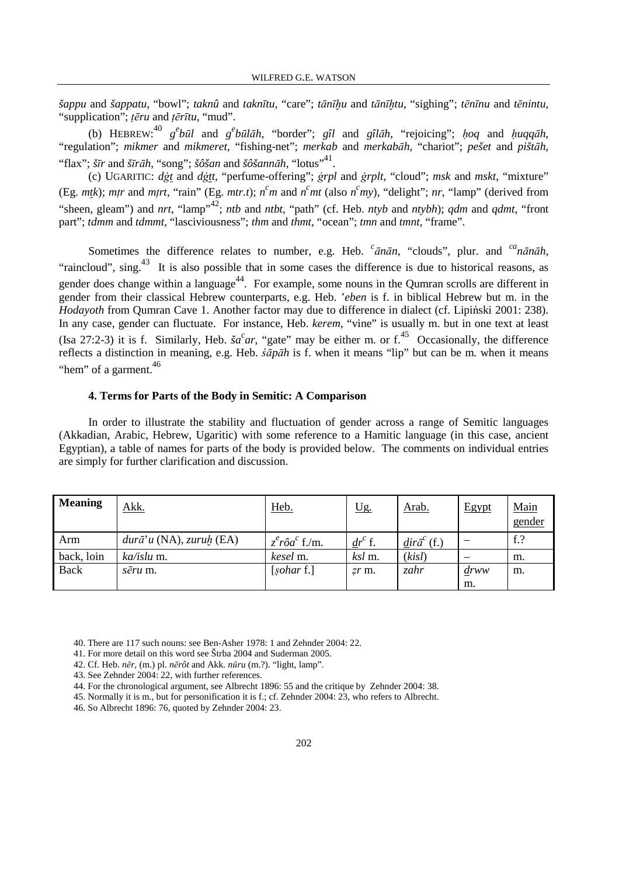*šappu* and *šappatu*, "bowl"; *taknû* and *takn*ī*tu*, "care"; *t*ā*n*īḫ*u* and *t*ā*n*īḫ*tu*, "sighing"; *t*ē*n*ī*nu* and *t*ē*nintu*, "supplication"; ṭē*ru* and ṭē*r*ī*tu,* "mud".

(b) HEBREW:<sup>40</sup>  $g^e b\bar{u}l$  and  $g^e b\bar{u}l\bar{a}h$ , "border";  $g\hat{i}l$  and  $g\hat{i}l\bar{a}h$ , "rejoicing"; *hoq* and *huqqãh*, "regulation"; *mikmer* and *mikmeret*, "fishing-net"; *merkab* and *merkab*ā*h*, "chariot"; *pešet* and *pišt*ā*h*, "flax"; *š*ī*r* and *š*ī*r*ā*h*, "song"; *šôšan* and *šôšann*ā*h*, "lotus"<sup>41</sup> .

(c) UGARITIC: *d*ġ*t* and *d*ġ*tt*, "perfume-offering"; ġ*rpl* and ġ*rplt*, "cloud"; *msk* and *mskt*, "mixture" (Eg. *mtk*); *mtr* and *mtrt*, "rain" (Eg. *mtr.t*);  $n^c m$  and  $n^c m t$  (also  $n^c m y$ ), "delight"; *nr*, "lamp" (derived from "sheen, gleam") and *nrt*, "lamp"<sup>42</sup>; *ntb* and *ntbt*, "path" (cf. Heb. *ntyb* and *ntybh*); *qdm* and *qdmt*, "front part"; *tdmm* and *tdmmt*, "lasciviousness"; *thm* and *thmt*, "ocean"; *tmn* and *tmnt*, "frame".

Sometimes the difference relates to number, e.g. Heb.  $c \bar{a}n\bar{a}n$ , "clouds", plur. and  $c \bar{a}n\bar{a}n\bar{a}h$ , "raincloud", sing.<sup>43</sup> It is also possible that in some cases the difference is due to historical reasons, as gender does change within a language<sup>44</sup>. For example, some nouns in the Qumran scrolls are different in gender from their classical Hebrew counterparts, e.g. Heb. '*eben* is f. in biblical Hebrew but m. in the *Hodayoth* from Qumran Cave 1. Another factor may due to difference in dialect (cf. Lipiński 2001: 238). In any case, gender can fluctuate. For instance, Heb. *kerem*, "vine" is usually m. but in one text at least (Isa 27:2-3) it is f. Similarly, Heb.  $\check{s}a^c a r$ , "gate" may be either m. or f.<sup>45</sup> Occasionally, the difference reflects a distinction in meaning, e.g. Heb. śā*p*ā*h* is f. when it means "lip" but can be m. when it means "hem" of a garment.<sup>46</sup>

### **4. Terms for Parts of the Body in Semitic: A Comparison**

In order to illustrate the stability and fluctuation of gender across a range of Semitic languages (Akkadian, Arabic, Hebrew, Ugaritic) with some reference to a Hamitic language (in this case, ancient Egyptian), a table of names for parts of the body is provided below. The comments on individual entries are simply for further clarification and discussion.

| <b>Meaning</b> | <u>Akk.</u>                         | <u>Heb.</u>               | <u>Ug.</u> | <u>Arab.</u>        | Egypt | Main<br>gender |
|----------------|-------------------------------------|---------------------------|------------|---------------------|-------|----------------|
| Arm            | $dur\vec{a}$ 'u (NA), zuru $h$ (EA) | $z^e r \hat{o} a^c$ f./m. | $dr^c$ f.  | $dir\bar{a}^c$ (f.) |       | $f$ .?         |
| back, loin     | ka/islu m.                          | kesel m.                  | ksl m.     | (kisl)              |       | m.             |
| Back           | <i>sēru</i> m.                      | [ <i>sohar</i> f.]        | $z\,$ r m. | zahr                | drww  | m.             |
|                |                                     |                           |            |                     | m.    |                |

- 42. Cf. Heb. *n*ē*r*, (m.) pl. *n*ē*rôt* and Akk. *n*ū*ru* (m.?). "light, lamp".
- 43. See Zehnder 2004: 22, with further references.
- 44. For the chronological argument, see Albrecht 1896: 55 and the critique by Zehnder 2004: 38.
- 45. Normally it is m., but for personification it is f.; cf. Zehnder 2004: 23, who refers to Albrecht.
- 46. So Albrecht 1896: 76, quoted by Zehnder 2004: 23.

<sup>40.</sup> There are 117 such nouns: see Ben-Asher 1978: 1 and Zehnder 2004: 22.

<sup>41.</sup> For more detail on this word see Štrba 2004 and Suderman 2005.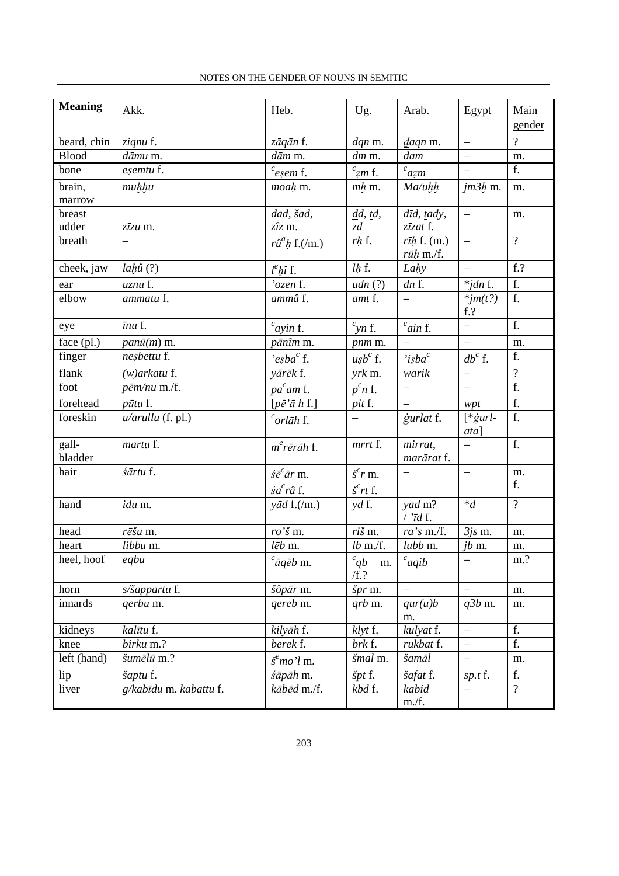| <b>Meaning</b> | Akk.                   | Heb.                             | <u>Ug.</u>                        | Arab.                          | Egypt             | Main             |
|----------------|------------------------|----------------------------------|-----------------------------------|--------------------------------|-------------------|------------------|
|                |                        |                                  |                                   |                                |                   | gender           |
| beard, chin    | ziqnu f.               | zāgān f.                         | dqn m.                            | daqn m.                        | $\equiv$          | 9                |
| <b>Blood</b>   | dāmu m.                | dām m.                           | dm m.                             | dam                            |                   | m.               |
| bone           | esemtu f.              | $^c$ esem f.                     | $\frac{c_{zm}}{m}$                | $\int_{a}^{c} a z m$           |                   | f.               |
| brain,         | muhhu                  | moah m.                          | $m\not\!\!\!/~m$ .                | Ma/uhh                         | $jm3h$ m.         | m.               |
| marrow         |                        |                                  |                                   |                                |                   |                  |
| breast         |                        | dad, šad,                        | $\underline{d}d, \underline{t}d,$ | $d\bar{u}d$ , tady,            | $\equiv$          | m.               |
| udder          | $z\overline{z}zu$ m.   | zîz m.                           | zd                                | zīzat f.                       |                   |                  |
| breath         |                        | $r\hat{u}^a h$ f.(/m.)           | rh f.                             | $r\bar{t}h$ f. (m.)            | $\qquad \qquad -$ | $\overline{?}$   |
|                |                        |                                  |                                   | $r\bar{u}h$ m./f.              |                   |                  |
| cheek, jaw     | $lah\hat{u}$ $(?)$     | $l^e h \hat{\imath}$ f.          | $lh$ f.                           | Lahy                           | $\qquad \qquad =$ | $f$ .?           |
| ear            | uznu f.                | 'ozen f.                         | udn(?)                            | $dn$ f.                        | $*$ <i>jdn</i> f. | f.               |
| elbow          | ammatu f.              | ammâ f.                          | amt f.                            |                                | * $jm(t?)$        | f.               |
|                |                        |                                  |                                   |                                | $f$ .?            |                  |
| eye            | īnu f.                 | $c_{\alpha}$ ayin f.             | $\epsilon_{\rm \gamma n}$ f.      | $c$ ain f.                     |                   | $\overline{f}$ . |
| face $(pl.)$   | $pan\bar{u}(m)$ m.     | pānîm m.                         | <i>pnm</i> m.                     |                                |                   | m.               |
| finger         | nesbettu f.            | 'esba $\epsilon$ <sup>c</sup> f. | $\mu s b^c$ f.                    | i <sub>isba</sub> <sup>c</sup> | $db^c$ f.         | f.               |
| flank          | $(w)$ arkatu f.        | yārēk f.                         | $yrk$ m.                          | warik                          | $\qquad \qquad -$ | $\overline{?}$   |
| foot           | pēm/nu m./f.           | $pac$ am f.                      | $p^c n$ f.                        | $\overline{\phantom{0}}$       |                   | f.               |
| forehead       | pūtu f.                | $[p\bar{e}'\bar{a}h\]$           | pit f.                            |                                | wpt               | ${\bf f}.$       |
| foreskin       | $u$ /arullu (f. pl.)   | $\int c$ orlāh f.                |                                   | gurlat f.                      | $[$ *gurl-        | f.               |
|                |                        |                                  |                                   |                                | ata]              |                  |
| gall-          | martu f.               | $m^e r \bar{e} r \bar{a} h$ f.   | mrrt f.                           | mirrat,                        |                   | f.               |
| bladder        |                        |                                  |                                   | marārat f.                     |                   |                  |
| hair           | śārtu f.               | $\dot{s}\bar{e}^c\bar{a}r$ m.    | $\check{s}^c r$ m.                |                                | $\qquad \qquad -$ | m.<br>f.         |
|                |                        | $\dot{s}a^{c}r\hat{a}$ f.        | $\check{s}^c rt$ f.               |                                |                   |                  |
| hand           | idu m.                 | $y\bar{a}d$ f.(/m.)              | $\mathcal{V}$ <i>d</i> f.         | yad m?                         | $\ast_d$          | $\overline{?}$   |
|                |                        |                                  |                                   | $/$ 'īd f.                     |                   |                  |
| head           | rēšu m.                | $ro'$ šm.                        | riš m.                            | $ra's$ m./f.                   | $3js$ m.          | m.               |
| heart          | libbu m.               | lēb m.                           | $lb$ m./f.                        | lubb m.                        | $jb$ m.           | m.               |
| heel, hoof     | eqbu                   | $\,c\bar{a}q\bar{e}b$ m.         | ${}^{c}qb$ m.<br>/f.?             | $c_{\text{aqib}}$              | $\qquad \qquad -$ | $m$ .?           |
| horn           | s/šappartu f.          | šôpār m.                         | špr m.                            |                                |                   | m.               |
| innards        | qerbu m.               | qereb m.                         | <i>arb</i> m.                     | qur(u)b                        | $q3b$ m.          | m.               |
|                |                        |                                  |                                   | m.                             |                   |                  |
| kidneys        | kalītu f.              | kilyāh f.                        | klyt f.                           | kulyat f.                      | $\qquad \qquad -$ | f.               |
| knee           | birku m.?              | berek f.                         | brk f.                            | rukbat f.                      |                   | $\overline{f}$ . |
| left (hand)    | šumēlū m.?             | $\check{s}^e$ mo'l m.            | šmal m.                           | šamāl                          |                   | m.               |
| lip            | šaptu f.               | śāpāh m.                         | špt f.                            | šafat f.                       | sp.t f.           | f.               |
| liver          | g/kabīdu m. kabattu f. | kābēd m./f.                      | kbd f.                            | kabid                          |                   | $\overline{?}$   |
|                |                        |                                  |                                   | m.f.                           |                   |                  |

# NOTES ON THE GENDER OF NOUNS IN SEMITIC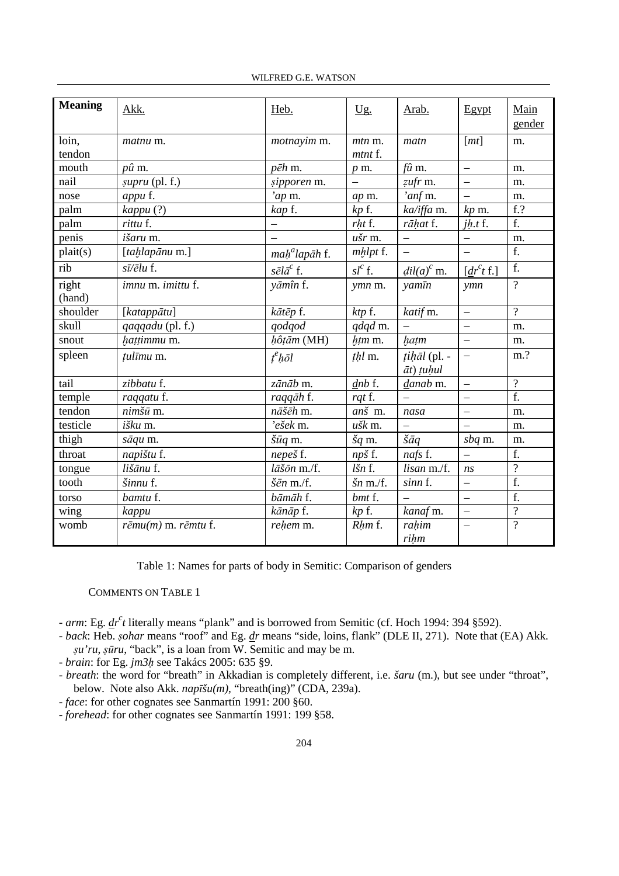| <b>Meaning</b>        | Akk.                                | Heb.                                          | <u>Ug.</u>               | Arab.                                         | Egypt                       | Main<br>gender   |
|-----------------------|-------------------------------------|-----------------------------------------------|--------------------------|-----------------------------------------------|-----------------------------|------------------|
| loin,<br>tendon       | <i>matnu</i> m.                     | motnayim m.                                   | <i>mtn</i> m.<br>mtnt f. | matn                                          | [mt]                        | m.               |
| mouth                 | pû m.                               | pēh m.                                        | $p$ m.                   | fû m.                                         | $\equiv$                    | m.               |
| nail                  | $supru$ (pl. f.)                    | sipporen m.                                   |                          | zufr m.                                       |                             | m.               |
| nose                  | appu f.                             | 'ap m.                                        | ap m.                    | 'anf m.                                       |                             | m.               |
| palm                  | kappu (?)                           | kap f.                                        | $kp$ f.                  | ka/iffa m.                                    | $kp$ m.                     | $f$ .?           |
| palm                  | rittu f.                            |                                               | rht f.                   | rāhat f.                                      | jh.t.f.                     | f.               |
| penis                 | išaru m.                            |                                               | ušr m.                   | $\overline{\phantom{0}}$                      |                             | m.               |
| $\text{plaintext}(s)$ | [tahlapānu m.]                      | mah <sup>a</sup> lapāh f.                     | mhlpt f.                 | $\equiv$                                      | $\equiv$                    | $\overline{f}$ . |
| rib                   | $s\bar{t}/\bar{e}lu$ f.             | $s\bar{e}l\bar{a}^c$ f.                       | $sl^c$ f.                | $dil(a)^c$ m.                                 | $\left[\frac{d}{r}t\right]$ | $\overline{f}$ . |
| right<br>(hand)       | imnu m. imittu f.                   | yāmîn f.                                      | ymn m.                   | yamīn                                         | ymn                         | $\overline{?}$   |
| shoulder              | [katappātu]                         | kātēp f.                                      | ktp f.                   | katif m.                                      | $\qquad \qquad -$           | $\overline{?}$   |
| skull                 | qaqqadu (pl. f.)                    | qodqod                                        | qdqd m.                  |                                               |                             | m.               |
| snout                 | hattimmu m.                         | hôțām (MH)                                    | hțm m.                   | hațm                                          |                             | m.               |
| spleen                | tulīmu m.                           | $t^eh\bar{o}l$                                | thl m.                   | $\mu$ <i>ihāl</i> (pl. -<br>$\bar{a}t)$ tuhul | $\overline{\phantom{0}}$    | m.?              |
| tail                  | zibbatu f.                          | zānāb m.                                      | dnb f.                   | danab m.                                      | $\overline{\phantom{0}}$    | $\overline{?}$   |
| temple                | raggatu f.                          | raqqāh f.                                     | rqt f.                   |                                               | $\overline{\phantom{0}}$    | f.               |
| tendon                | nimšū m.                            | nāšēh m.                                      | anš m.                   | nasa                                          |                             | m.               |
| testicle              | išku m.                             | 'ešek m.                                      | ušk m.                   |                                               |                             | m.               |
| thigh                 | sāqu m.                             | šūq m.                                        | $\check{s}q$ m.          | $\check{s}\bar{a}q$                           | sbq m.                      | m.               |
| throat                | napištu f.                          | nepeš f.                                      | npš f.                   | nafs f.                                       |                             | f.               |
| tongue                | lišānu f.                           | $l\bar{a}\check{s}\bar{o}n$ m./f.             | lšn f.                   | lisan m./f.                                   | ns                          | $\overline{?}$   |
| tooth                 | šinnu f.                            | $\check{\mathcal{S}}\bar{\mathcal{C}}n$ m./f. | $\check{s}n$ m./f.       | sinn f.                                       | $\equiv$                    | f.               |
| torso                 | bamtu f.                            | bāmāh f.                                      | bmt f.                   |                                               |                             | f.               |
| wing                  | kappu                               | kānāp f.                                      | $kp$ f.                  | kanaf m.                                      | $\equiv$                    | $\overline{?}$   |
| womb                  | $r\bar{e}mu(m)$ m. $r\bar{e}mtu$ f. | rehem m.                                      | Rhm f.                   | rahim<br>rihm                                 |                             | $\overline{?}$   |

#### WILFRED G.E. WATSON

Table 1: Names for parts of body in Semitic: Comparison of genders

COMMENTS ON TABLE 1

- *back*: Heb. ṣ*ohar* means "roof" and Eg. *dr* means "side, loins, flank" (DLE II, 271). Note that (EA) Akk. ṣ*u'ru*, ṣū*ru*, "back", is a loan from W. Semitic and may be m.
- *brain*: for Eg. *jm3*ḥ see Takács 2005: 635 §9.
- *breath*: the word for "breath" in Akkadian is completely different, i.e. *šaru* (m.), but see under "throat", below. Note also Akk. *nap*ī*šu(m)*, "breath(ing)" (CDA, 239a).
- *face*: for other cognates see Sanmartín 1991: 200 §60.
- *forehead*: for other cognates see Sanmartín 1991: 199 §58.

*<sup>-</sup> arm*: Eg. *dr<sup>c</sup>t* literally means "plank" and is borrowed from Semitic (cf. Hoch 1994: 394 §592).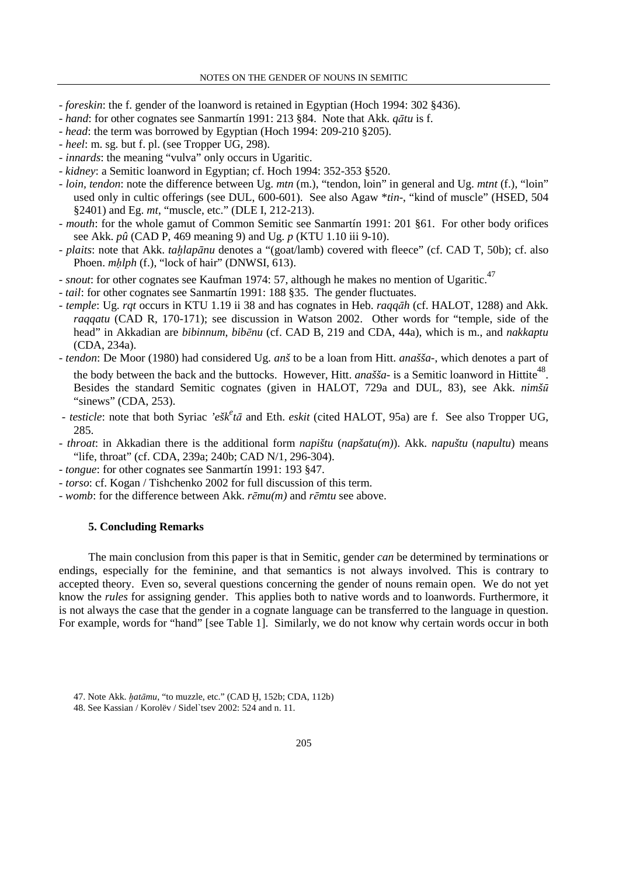- *foreskin*: the f. gender of the loanword is retained in Egyptian (Hoch 1994: 302 §436).
- *hand*: for other cognates see Sanmartín 1991: 213 §84. Note that Akk. *q*ā*tu* is f.
- *head*: the term was borrowed by Egyptian (Hoch 1994: 209-210 §205).
- *heel*: m. sg. but f. pl. (see Tropper UG, 298).
- *innards*: the meaning "vulva" only occurs in Ugaritic.
- *kidney*: a Semitic loanword in Egyptian; cf. Hoch 1994: 352-353 §520.
- *loin, tendon*: note the difference between Ug. *mtn* (m.), "tendon, loin" in general and Ug. *mtnt* (f.), "loin" used only in cultic offerings (see DUL, 600-601). See also Agaw \**tin*-, "kind of muscle" (HSED, 504 §2401) and Eg. *mt*, "muscle, etc." (DLE I, 212-213).
- *mouth*: for the whole gamut of Common Semitic see Sanmartín 1991: 201 §61. For other body orifices see Akk. *pû* (CAD P, 469 meaning 9) and Ug. *p* (KTU 1.10 iii 9-10).
- *plaits*: note that Akk. *ta*ḫ*lap*ā*nu* denotes a "(goat/lamb) covered with fleece" (cf. CAD T, 50b); cf. also Phoen. *mhlph* (f.), "lock of hair" (DNWSI, 613).
- *snout*: for other cognates see Kaufman 1974: 57, although he makes no mention of Ugaritic.<sup>47</sup>
- *tail*: for other cognates see Sanmartín 1991: 188 §35. The gender fluctuates.
- *temple*: Ug. *rqt* occurs in KTU 1.19 ii 38 and has cognates in Heb. *raqq*ā*h* (cf. HALOT, 1288) and Akk. *raqqatu* (CAD R, 170-171); see discussion in Watson 2002. Other words for "temple, side of the head" in Akkadian are *bibinnum*, *bib*ē*nu* (cf. CAD B, 219 and CDA, 44a), which is m., and *nakkaptu* (CDA, 234a).
- *tendon*: De Moor (1980) had considered Ug. *anš* to be a loan from Hitt. *anašša-*, which denotes a part of the body between the back and the buttocks. However, Hitt. *anašša*- is a Semitic loanword in Hittite<sup>48</sup>. Besides the standard Semitic cognates (given in HALOT, 729a and DUL, 83), see Akk. *nimš*ū "sinews" (CDA, 253).
- *testicle*: note that both Syriac *'ešk<sup>e</sup> t*ā and Eth. *eskit* (cited HALOT, 95a) are f. See also Tropper UG, 285.
- *throat*: in Akkadian there is the additional form *napištu* (*napšatu(m)*). Akk. *napuštu* (*napultu*) means "life, throat" (cf. CDA, 239a; 240b; CAD N/1, 296-304).
- *tongue*: for other cognates see Sanmartín 1991: 193 §47.
- *torso*: cf. Kogan / Tishchenko 2002 for full discussion of this term.
- *womb*: for the difference between Akk. *r*ē*mu(m)* and *r*ē*mtu* see above.

### **5. Concluding Remarks**

The main conclusion from this paper is that in Semitic, gender *can* be determined by terminations or endings, especially for the feminine, and that semantics is not always involved. This is contrary to accepted theory. Even so, several questions concerning the gender of nouns remain open. We do not yet know the *rules* for assigning gender. This applies both to native words and to loanwords. Furthermore, it is not always the case that the gender in a cognate language can be transferred to the language in question. For example, words for "hand" [see Table 1]. Similarly, we do not know why certain words occur in both

<sup>47.</sup> Note Akk. ḫ*at*ā*mu*, "to muzzle, etc." (CAD Ḫ, 152b; CDA, 112b)

<sup>48.</sup> See Kassian / Korolëv / Sidel`tsev 2002: 524 and n. 11.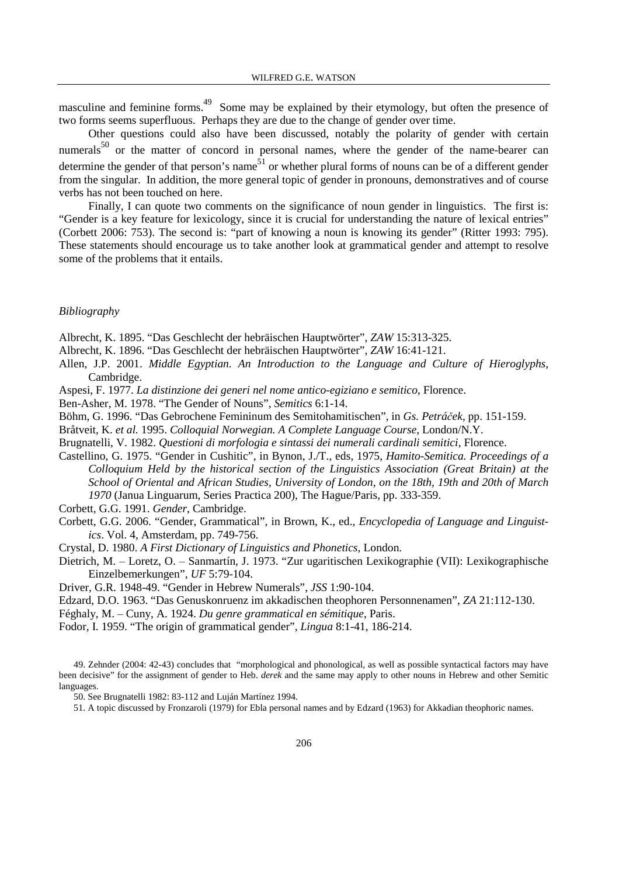masculine and feminine forms.<sup>49</sup> Some may be explained by their etymology, but often the presence of two forms seems superfluous. Perhaps they are due to the change of gender over time.

Other questions could also have been discussed, notably the polarity of gender with certain numerals<sup>50</sup> or the matter of concord in personal names, where the gender of the name-bearer can determine the gender of that person's name<sup>51</sup> or whether plural forms of nouns can be of a different gender from the singular. In addition, the more general topic of gender in pronouns, demonstratives and of course verbs has not been touched on here.

Finally, I can quote two comments on the significance of noun gender in linguistics. The first is: "Gender is a key feature for lexicology, since it is crucial for understanding the nature of lexical entries" (Corbett 2006: 753). The second is: "part of knowing a noun is knowing its gender" (Ritter 1993: 795). These statements should encourage us to take another look at grammatical gender and attempt to resolve some of the problems that it entails.

## *Bibliography*

Albrecht, K. 1895. "Das Geschlecht der hebräischen Hauptwörter", *ZAW* 15:313-325.

- Albrecht, K. 1896. "Das Geschlecht der hebräischen Hauptwörter", *ZAW* 16:41-121.
- Allen, J.P. 2001. *Middle Egyptian. An Introduction to the Language and Culture of Hieroglyphs*, Cambridge.
- Aspesi, F. 1977. *La distinzione dei generi nel nome antico-egiziano e semitico*, Florence.
- Ben-Asher, M. 1978. "The Gender of Nouns", *Semitics* 6:1-14.
- Böhm, G. 1996. "Das Gebrochene Femininum des Semitohamitischen", in *Gs. Petrá*č*ek*, pp. 151-159.
- Bråtveit, K. *et al.* 1995. *Colloquial Norwegian. A Complete Language Course*, London/N.Y.
- Brugnatelli, V. 1982. *Questioni di morfologia e sintassi dei numerali cardinali semitici*, Florence.
- Castellino, G. 1975. "Gender in Cushitic", in Bynon, J./T., eds, 1975, *Hamito-Semitica. Proceedings of a Colloquium Held by the historical section of the Linguistics Association (Great Britain) at the School of Oriental and African Studies, University of London, on the 18th, 19th and 20th of March 1970* (Janua Linguarum, Series Practica 200), The Hague/Paris, pp. 333-359.

Corbett, G.G. 1991. *Gender*, Cambridge.

- Corbett, G.G. 2006. "Gender, Grammatical", in Brown, K., ed., *Encyclopedia of Language and Linguistics*. Vol. 4, Amsterdam, pp. 749-756.
- Crystal, D. 1980. *A First Dictionary of Linguistics and Phonetics*, London.
- Dietrich, M. ‒ Loretz, O. ‒ Sanmartín, J. 1973. "Zur ugaritischen Lexikographie (VII): Lexikographische Einzelbemerkungen", *UF* 5:79-104.

Driver*,* G.R. 1948-49. "Gender in Hebrew Numerals", *JSS* 1:90-104.

- Edzard, D.O. 1963. "Das Genuskonruenz im akkadischen theophoren Personnenamen", *ZA* 21:112-130.
- Féghaly, M. ‒ Cuny, A. 1924. *Du genre grammatical en sémitique*, Paris.
- Fodor, I. 1959. "The origin of grammatical gender", *Lingua* 8:1-41, 186-214.

50. See Brugnatelli 1982: 83-112 and Luján Martínez 1994.

51. A topic discussed by Fronzaroli (1979) for Ebla personal names and by Edzard (1963) for Akkadian theophoric names.

<sup>49.</sup> Zehnder (2004: 42-43) concludes that "morphological and phonological, as well as possible syntactical factors may have been decisive" for the assignment of gender to Heb. *derek* and the same may apply to other nouns in Hebrew and other Semitic languages.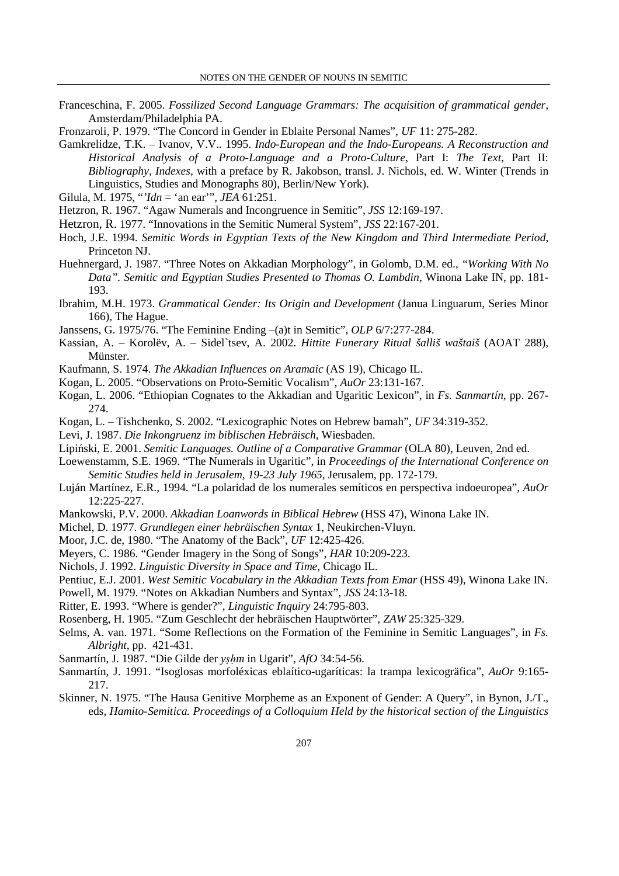- Franceschina, F. 2005. *Fossilized Second Language Grammars: The acquisition of grammatical gender*, Amsterdam/Philadelphia PA.
- Fronzaroli, P. 1979. "The Concord in Gender in Eblaite Personal Names", *UF* 11: 275-282.
- Gamkrelidze, T.K. ‒ Ivanov, V.V.. 1995. *Indo-European and the Indo-Europeans. A Reconstruction and Historical Analysis of a Proto-Language and a Proto-Culture*, Part I: *The Text*, Part II: *Bibliography, Indexes*, with a preface by R. Jakobson, transl. J. Nichols, ed. W. Winter (Trends in Linguistics, Studies and Monographs 80), Berlin/New York).
- Gilula, M. 1975, "*'Idn* = 'an ear'", *JEA* 61:251.
- Hetzron, R. 1967. "Agaw Numerals and Incongruence in Semitic", *JSS* 12:169-197.
- Hetzron, R. 1977. "Innovations in the Semitic Numeral System", *JSS* 22:167-201.
- Hoch, J.E. 1994. *Semitic Words in Egyptian Texts of the New Kingdom and Third Intermediate Period*, Princeton NJ.
- Huehnergard, J. 1987. "Three Notes on Akkadian Morphology", in Golomb, D.M. ed., *"Working With No Data". Semitic and Egyptian Studies Presented to Thomas O. Lambdin*, Winona Lake IN, pp. 181- 193.
- Ibrahim, M.H. 1973. *Grammatical Gender: Its Origin and Development* (Janua Linguarum, Series Minor 166), The Hague.
- Janssens, G. 1975/76. "The Feminine Ending –(a)t in Semitic", *OLP* 6/7:277-284.
- Kassian, A. ‒ Korolëv, A. ‒ Sidel`tsev, A. 2002. *Hittite Funerary Ritual šalliš waštaiš* (AOAT 288), Münster.
- Kaufmann, S. 1974. *The Akkadian Influences on Aramaic* (AS 19), Chicago IL.
- Kogan, L. 2005. "Observations on Proto-Semitic Vocalism", *AuOr* 23:131-167.
- Kogan, L. 2006. "Ethiopian Cognates to the Akkadian and Ugaritic Lexicon", in *Fs. Sanmartín*, pp. 267- 274.
- Kogan, L. ‒ Tishchenko, S. 2002. "Lexicographic Notes on Hebrew bamah", *UF* 34:319-352.
- Levi, J. 1987. *Die Inkongruenz im biblischen Hebräisch*, Wiesbaden.
- Lipiński, E. 2001. *Semitic Languages. Outline of a Comparative Grammar* (OLA 80), Leuven, 2nd ed.
- Loewenstamm, S.E. 1969. "The Numerals in Ugaritic", in *Proceedings of the International Conference on Semitic Studies held in Jerusalem, 19-23 July 1965*, Jerusalem, pp. 172-179.
- Luján Martínez, E.R., 1994. "La polaridad de los numerales semíticos en perspectiva indoeuropea", *AuOr* 12:225-227.
- Mankowski, P.V. 2000. *Akkadian Loanwords in Biblical Hebrew* (HSS 47), Winona Lake IN.
- Michel, D. 1977. *Grundlegen einer hebräischen Syntax* 1, Neukirchen-Vluyn.
- Moor, J.C. de, 1980. "The Anatomy of the Back", *UF* 12:425-426.
- Meyers, C. 1986. "Gender Imagery in the Song of Songs", *HAR* 10:209-223.
- Nichols, J. 1992. *Linguistic Diversity in Space and Time*, Chicago IL.
- Pentiuc, E.J. 2001. *West Semitic Vocabulary in the Akkadian Texts from Emar* (HSS 49), Winona Lake IN.
- Powell, M. 1979. "Notes on Akkadian Numbers and Syntax", *JSS* 24:13-18.
- Ritter, E. 1993. "Where is gender?", *Linguistic Inquiry* 24:795-803.
- Rosenberg, H. 1905. "Zum Geschlecht der hebräischen Hauptwörter", *ZAW* 25:325-329.
- Selms, A. van. 1971. "Some Reflections on the Formation of the Feminine in Semitic Languages", in *Fs. Albright*, pp. 421-431.
- Sanmartín, J. 1987. "Die Gilde der *y*ṣḥ*m* in Ugarit", *AfO* 34:54-56.
- Sanmartín, J. 1991. "Isoglosas morfoléxicas eblaítico-ugaríticas: la trampa lexicogräfica", *AuOr* 9:165- 217.
- Skinner, N. 1975. "The Hausa Genitive Morpheme as an Exponent of Gender: A Query", in Bynon, J./T., eds, *Hamito-Semitica. Proceedings of a Colloquium Held by the historical section of the Linguistics*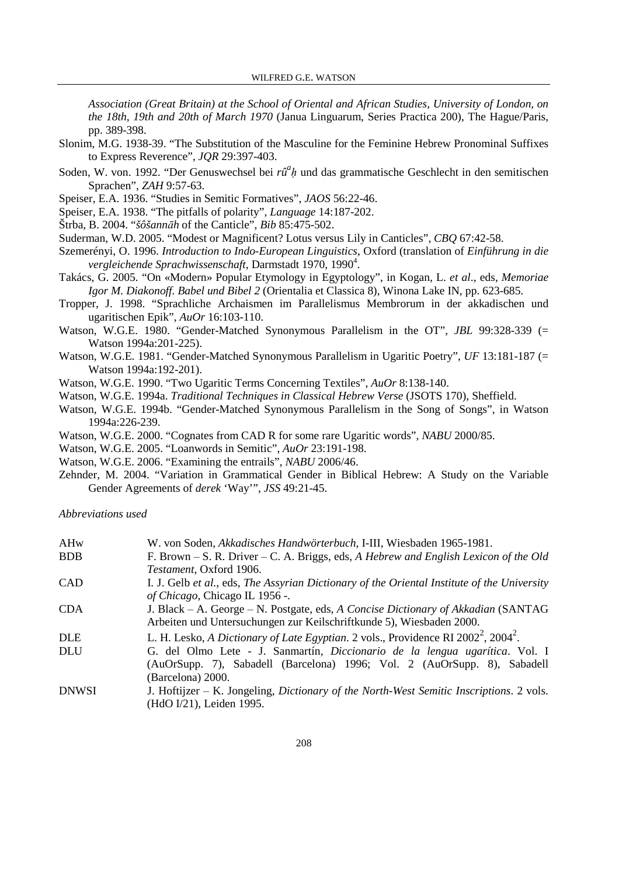*Association (Great Britain) at the School of Oriental and African Studies, University of London, on the 18th, 19th and 20th of March 1970* (Janua Linguarum, Series Practica 200), The Hague/Paris, pp. 389-398.

- Slonim, M.G. 1938-39. "The Substitution of the Masculine for the Feminine Hebrew Pronominal Suffixes to Express Reverence", *JQR* 29:397-403.
- Soden, W. von. 1992. "Der Genuswechsel bei *rû<sup>a</sup>h* und das grammatische Geschlecht in den semitischen Sprachen", *ZAH* 9:57-63.
- Speiser, E.A. 1936. "Studies in Semitic Formatives", *JAOS* 56:22-46.
- Speiser, E.A. 1938. "The pitfalls of polarity", *Language* 14:187-202.
- Štrba, B. 2004. "*šôšann*ā*h* of the Canticle", *Bib* 85:475-502.

Suderman, W.D. 2005. "Modest or Magnificent? Lotus versus Lily in Canticles", *CBQ* 67:42-58.

- Szemerényi, O. 1996. *Introduction to Indo-European Linguistics*, Oxford (translation of *Einführung in die*  vergleichende Sprachwissenschaft, Darmstadt 1970, 1990<sup>4</sup>.
- Takács, G. 2005. "On «Modern» Popular Etymology in Egyptology", in Kogan, L. *et al*., eds, *Memoriae Igor M. Diakonoff. Babel und Bibel 2* (Orientalia et Classica 8), Winona Lake IN, pp. 623-685.
- Tropper, J. 1998. "Sprachliche Archaismen im Parallelismus Membrorum in der akkadischen und ugaritischen Epik", *AuOr* 16:103-110.
- Watson, W.G.E. 1980. "Gender-Matched Synonymous Parallelism in the OT", *JBL* 99:328-339 (= Watson 1994a:201-225).
- Watson, W.G.E. 1981. "Gender-Matched Synonymous Parallelism in Ugaritic Poetry", *UF* 13:181-187 (= Watson 1994a:192-201).
- Watson, W.G.E. 1990. "Two Ugaritic Terms Concerning Textiles", *AuOr* 8:138-140.
- Watson, W.G.E. 1994a. *Traditional Techniques in Classical Hebrew Verse* (JSOTS 170), Sheffield.
- Watson, W.G.E. 1994b. "Gender-Matched Synonymous Parallelism in the Song of Songs", in Watson 1994a:226-239.
- Watson, W.G.E. 2000. "Cognates from CAD R for some rare Ugaritic words", *NABU* 2000/85.
- Watson, W.G.E. 2005. "Loanwords in Semitic", *AuOr* 23:191-198.
- Watson, W.G.E. 2006. "Examining the entrails", *NABU* 2006/46.
- Zehnder, M. 2004. "Variation in Grammatical Gender in Biblical Hebrew: A Study on the Variable Gender Agreements of *derek* 'Way'", *JSS* 49:21-45.

*Abbreviations used* 

| AHw          | W. von Soden, Akkadisches Handwörterbuch, I-III, Wiesbaden 1965-1981.                           |
|--------------|-------------------------------------------------------------------------------------------------|
| <b>BDB</b>   | F. Brown $- S$ . R. Driver $- C$ . A. Briggs, eds, A Hebrew and English Lexicon of the Old      |
|              | Testament, Oxford 1906.                                                                         |
| <b>CAD</b>   | I. J. Gelb et al., eds, The Assyrian Dictionary of the Oriental Institute of the University     |
|              | of Chicago, Chicago IL 1956 -.                                                                  |
| <b>CDA</b>   | J. Black – A. George – N. Postgate, eds, A Concise Dictionary of Akkadian (SANTAG               |
|              | Arbeiten und Untersuchungen zur Keilschriftkunde 5), Wiesbaden 2000.                            |
| <b>DLE</b>   | L. H. Lesko, A Dictionary of Late Egyptian. 2 vols., Providence RI $2002^2$ , $2004^2$ .        |
| <b>DLU</b>   | G. del Olmo Lete - J. Sanmartín, Diccionario de la lengua ugarítica. Vol. I                     |
|              | (AuOrSupp. 7), Sabadell (Barcelona) 1996; Vol. 2 (AuOrSupp. 8), Sabadell                        |
|              | (Barcelona) 2000.                                                                               |
| <b>DNWSI</b> | J. Hoftijzer – K. Jongeling, <i>Dictionary of the North-West Semitic Inscriptions</i> . 2 vols. |
|              | (HdO I/21), Leiden 1995.                                                                        |